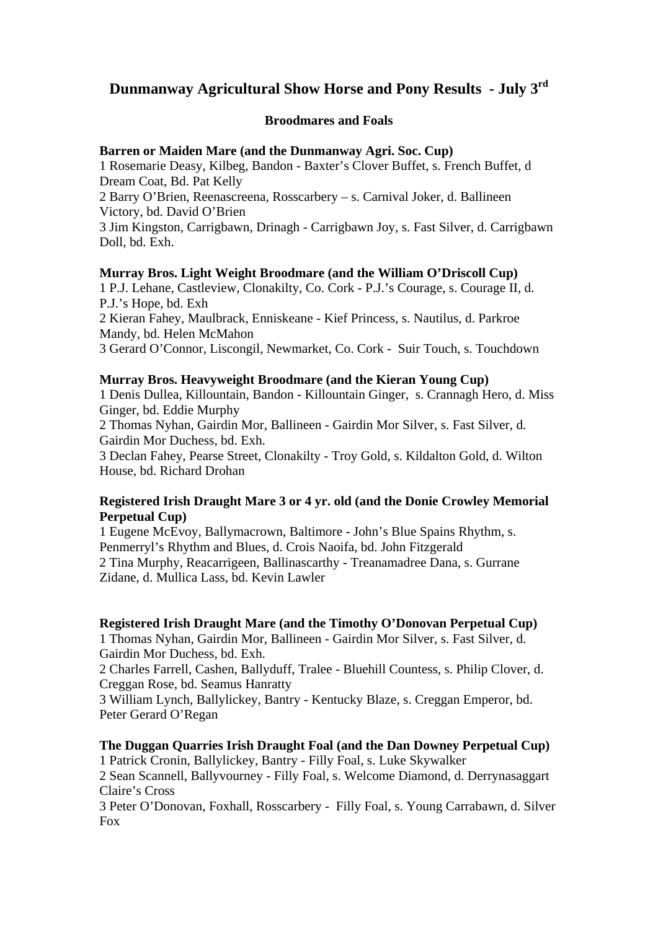# **Dunmanway Agricultural Show Horse and Pony Results - July 3rd**

# **Broodmares and Foals**

# **Barren or Maiden Mare (and the Dunmanway Agri. Soc. Cup)**

1 Rosemarie Deasy, Kilbeg, Bandon - Baxter's Clover Buffet, s. French Buffet, d Dream Coat, Bd. Pat Kelly

2 Barry O'Brien, Reenascreena, Rosscarbery – s. Carnival Joker, d. Ballineen Victory, bd. David O'Brien

3 Jim Kingston, Carrigbawn, Drinagh - Carrigbawn Joy, s. Fast Silver, d. Carrigbawn Doll, bd. Exh.

# **Murray Bros. Light Weight Broodmare (and the William O'Driscoll Cup)**

1 P.J. Lehane, Castleview, Clonakilty, Co. Cork - P.J.'s Courage, s. Courage II, d. P.J.'s Hope, bd. Exh

2 Kieran Fahey, Maulbrack, Enniskeane - Kief Princess, s. Nautilus, d. Parkroe Mandy, bd. Helen McMahon

3 Gerard O'Connor, Liscongil, Newmarket, Co. Cork - Suir Touch, s. Touchdown

# **Murray Bros. Heavyweight Broodmare (and the Kieran Young Cup)**

1 Denis Dullea, Killountain, Bandon - Killountain Ginger, s. Crannagh Hero, d. Miss Ginger, bd. Eddie Murphy

2 Thomas Nyhan, Gairdin Mor, Ballineen - Gairdin Mor Silver, s. Fast Silver, d. Gairdin Mor Duchess, bd. Exh.

3 Declan Fahey, Pearse Street, Clonakilty - Troy Gold, s. Kildalton Gold, d. Wilton House, bd. Richard Drohan

# **Registered Irish Draught Mare 3 or 4 yr. old (and the Donie Crowley Memorial Perpetual Cup)**

1 Eugene McEvoy, Ballymacrown, Baltimore - John's Blue Spains Rhythm, s. Penmerryl's Rhythm and Blues, d. Crois Naoifa, bd. John Fitzgerald 2 Tina Murphy, Reacarrigeen, Ballinascarthy - Treanamadree Dana, s. Gurrane Zidane, d. Mullica Lass, bd. Kevin Lawler

# **Registered Irish Draught Mare (and the Timothy O'Donovan Perpetual Cup)**

1 Thomas Nyhan, Gairdin Mor, Ballineen - Gairdin Mor Silver, s. Fast Silver, d. Gairdin Mor Duchess, bd. Exh.

2 Charles Farrell, Cashen, Ballyduff, Tralee - Bluehill Countess, s. Philip Clover, d. Creggan Rose, bd. Seamus Hanratty

3 William Lynch, Ballylickey, Bantry - Kentucky Blaze, s. Creggan Emperor, bd. Peter Gerard O'Regan

# **The Duggan Quarries Irish Draught Foal (and the Dan Downey Perpetual Cup)**

1 Patrick Cronin, Ballylickey, Bantry - Filly Foal, s. Luke Skywalker 2 Sean Scannell, Ballyvourney - Filly Foal, s. Welcome Diamond, d. Derrynasaggart

Claire's Cross

3 Peter O'Donovan, Foxhall, Rosscarbery - Filly Foal, s. Young Carrabawn, d. Silver Fox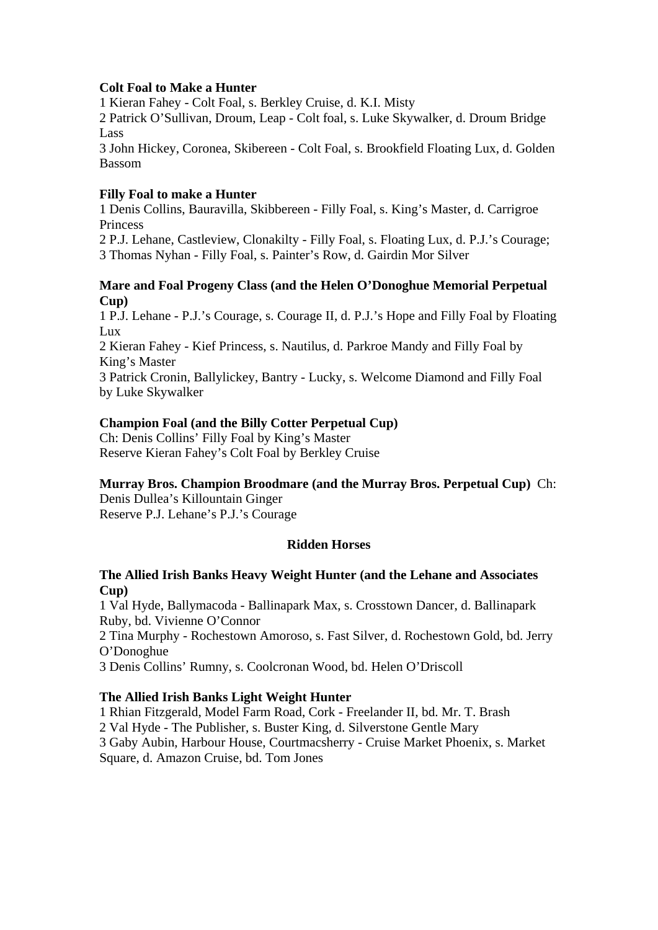# **Colt Foal to Make a Hunter**

1 Kieran Fahey - Colt Foal, s. Berkley Cruise, d. K.I. Misty

2 Patrick O'Sullivan, Droum, Leap - Colt foal, s. Luke Skywalker, d. Droum Bridge Lass

3 John Hickey, Coronea, Skibereen - Colt Foal, s. Brookfield Floating Lux, d. Golden Bassom

# **Filly Foal to make a Hunter**

1 Denis Collins, Bauravilla, Skibbereen - Filly Foal, s. King's Master, d. Carrigroe Princess

2 P.J. Lehane, Castleview, Clonakilty - Filly Foal, s. Floating Lux, d. P.J.'s Courage; 3 Thomas Nyhan - Filly Foal, s. Painter's Row, d. Gairdin Mor Silver

# **Mare and Foal Progeny Class (and the Helen O'Donoghue Memorial Perpetual Cup)**

1 P.J. Lehane - P.J.'s Courage, s. Courage II, d. P.J.'s Hope and Filly Foal by Floating Lux

2 Kieran Fahey - Kief Princess, s. Nautilus, d. Parkroe Mandy and Filly Foal by King's Master

3 Patrick Cronin, Ballylickey, Bantry - Lucky, s. Welcome Diamond and Filly Foal by Luke Skywalker

# **Champion Foal (and the Billy Cotter Perpetual Cup)**

Ch: Denis Collins' Filly Foal by King's Master Reserve Kieran Fahey's Colt Foal by Berkley Cruise

# **Murray Bros. Champion Broodmare (and the Murray Bros. Perpetual Cup)** Ch:

Denis Dullea's Killountain Ginger Reserve P.J. Lehane's P.J.'s Courage

# **Ridden Horses**

# **The Allied Irish Banks Heavy Weight Hunter (and the Lehane and Associates Cup)**

1 Val Hyde, Ballymacoda - Ballinapark Max, s. Crosstown Dancer, d. Ballinapark Ruby, bd. Vivienne O'Connor

2 Tina Murphy - Rochestown Amoroso, s. Fast Silver, d. Rochestown Gold, bd. Jerry O'Donoghue

3 Denis Collins' Rumny, s. Coolcronan Wood, bd. Helen O'Driscoll

# **The Allied Irish Banks Light Weight Hunter**

1 Rhian Fitzgerald, Model Farm Road, Cork - Freelander II, bd. Mr. T. Brash

2 Val Hyde - The Publisher, s. Buster King, d. Silverstone Gentle Mary

3 Gaby Aubin, Harbour House, Courtmacsherry - Cruise Market Phoenix, s. Market

Square, d. Amazon Cruise, bd. Tom Jones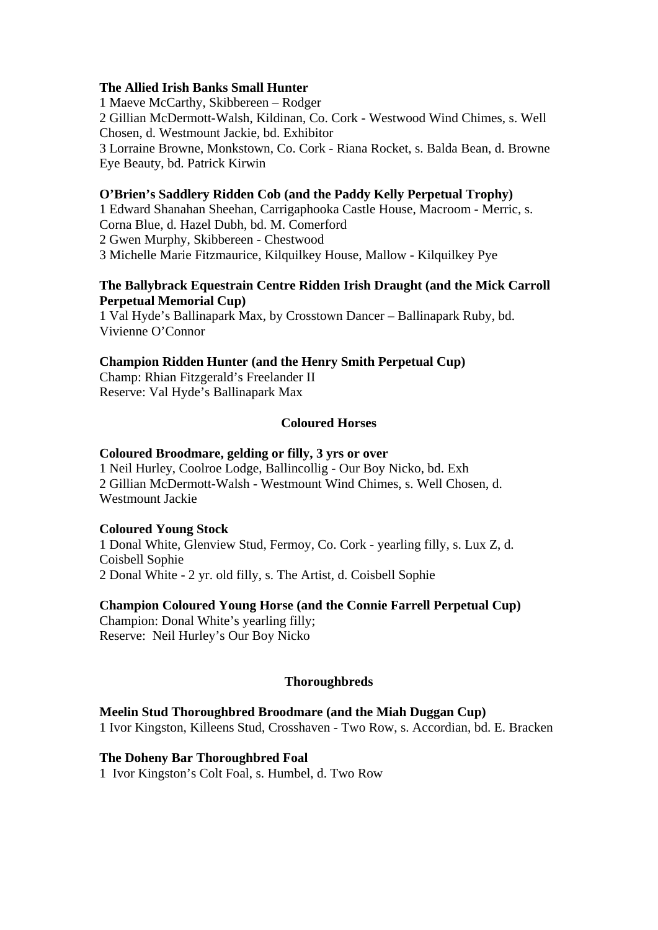# **The Allied Irish Banks Small Hunter**

1 Maeve McCarthy, Skibbereen – Rodger 2 Gillian McDermott-Walsh, Kildinan, Co. Cork - Westwood Wind Chimes, s. Well Chosen, d. Westmount Jackie, bd. Exhibitor 3 Lorraine Browne, Monkstown, Co. Cork - Riana Rocket, s. Balda Bean, d. Browne Eye Beauty, bd. Patrick Kirwin

#### **O'Brien's Saddlery Ridden Cob (and the Paddy Kelly Perpetual Trophy)**

1 Edward Shanahan Sheehan, Carrigaphooka Castle House, Macroom - Merric, s. Corna Blue, d. Hazel Dubh, bd. M. Comerford 2 Gwen Murphy, Skibbereen - Chestwood 3 Michelle Marie Fitzmaurice, Kilquilkey House, Mallow - Kilquilkey Pye

# **The Ballybrack Equestrain Centre Ridden Irish Draught (and the Mick Carroll Perpetual Memorial Cup)**

1 Val Hyde's Ballinapark Max, by Crosstown Dancer – Ballinapark Ruby, bd. Vivienne O'Connor

#### **Champion Ridden Hunter (and the Henry Smith Perpetual Cup)**

Champ: Rhian Fitzgerald's Freelander II Reserve: Val Hyde's Ballinapark Max

# **Coloured Horses**

#### **Coloured Broodmare, gelding or filly, 3 yrs or over**

1 Neil Hurley, Coolroe Lodge, Ballincollig - Our Boy Nicko, bd. Exh 2 Gillian McDermott-Walsh - Westmount Wind Chimes, s. Well Chosen, d. Westmount Jackie

#### **Coloured Young Stock**

1 Donal White, Glenview Stud, Fermoy, Co. Cork - yearling filly, s. Lux Z, d. Coisbell Sophie 2 Donal White - 2 yr. old filly, s. The Artist, d. Coisbell Sophie

#### **Champion Coloured Young Horse (and the Connie Farrell Perpetual Cup)**

Champion: Donal White's yearling filly; Reserve: Neil Hurley's Our Boy Nicko

# **Thoroughbreds**

#### **Meelin Stud Thoroughbred Broodmare (and the Miah Duggan Cup)**

1 Ivor Kingston, Killeens Stud, Crosshaven - Two Row, s. Accordian, bd. E. Bracken

#### **The Doheny Bar Thoroughbred Foal**

1 Ivor Kingston's Colt Foal, s. Humbel, d. Two Row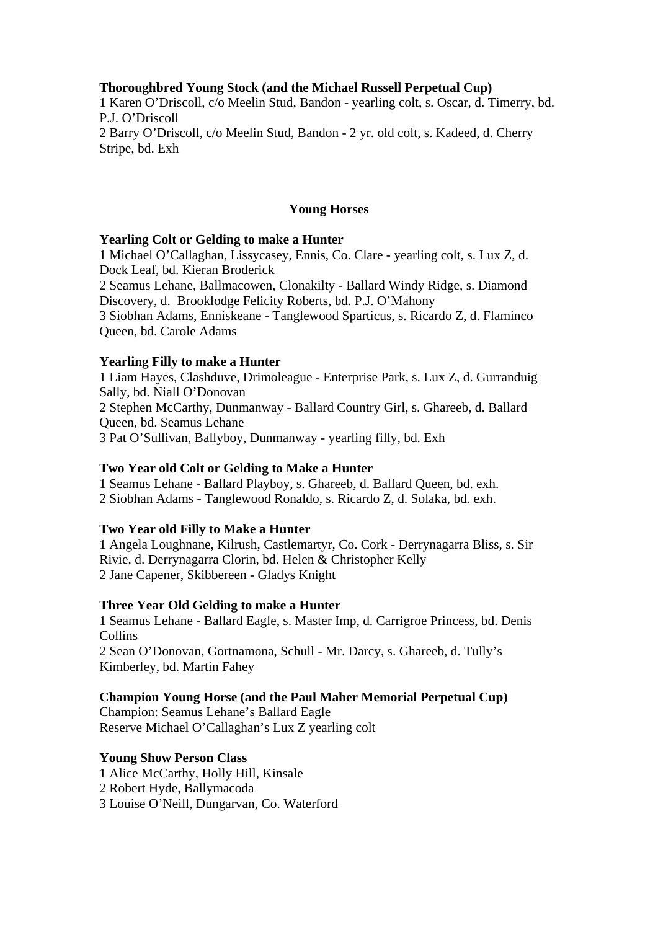# **Thoroughbred Young Stock (and the Michael Russell Perpetual Cup)**

1 Karen O'Driscoll, c/o Meelin Stud, Bandon - yearling colt, s. Oscar, d. Timerry, bd. P.J. O'Driscoll 2 Barry O'Driscoll, c/o Meelin Stud, Bandon - 2 yr. old colt, s. Kadeed, d. Cherry Stripe, bd. Exh

#### **Young Horses**

#### **Yearling Colt or Gelding to make a Hunter**

1 Michael O'Callaghan, Lissycasey, Ennis, Co. Clare - yearling colt, s. Lux Z, d. Dock Leaf, bd. Kieran Broderick 2 Seamus Lehane, Ballmacowen, Clonakilty - Ballard Windy Ridge, s. Diamond Discovery, d. Brooklodge Felicity Roberts, bd. P.J. O'Mahony 3 Siobhan Adams, Enniskeane - Tanglewood Sparticus, s. Ricardo Z, d. Flaminco Queen, bd. Carole Adams

#### **Yearling Filly to make a Hunter**

1 Liam Hayes, Clashduve, Drimoleague - Enterprise Park, s. Lux Z, d. Gurranduig Sally, bd. Niall O'Donovan 2 Stephen McCarthy, Dunmanway - Ballard Country Girl, s. Ghareeb, d. Ballard Queen, bd. Seamus Lehane 3 Pat O'Sullivan, Ballyboy, Dunmanway - yearling filly, bd. Exh

#### **Two Year old Colt or Gelding to Make a Hunter**

1 Seamus Lehane - Ballard Playboy, s. Ghareeb, d. Ballard Queen, bd. exh. 2 Siobhan Adams - Tanglewood Ronaldo, s. Ricardo Z, d. Solaka, bd. exh.

#### **Two Year old Filly to Make a Hunter**

1 Angela Loughnane, Kilrush, Castlemartyr, Co. Cork - Derrynagarra Bliss, s. Sir Rivie, d. Derrynagarra Clorin, bd. Helen & Christopher Kelly 2 Jane Capener, Skibbereen - Gladys Knight

#### **Three Year Old Gelding to make a Hunter**

1 Seamus Lehane - Ballard Eagle, s. Master Imp, d. Carrigroe Princess, bd. Denis Collins

2 Sean O'Donovan, Gortnamona, Schull - Mr. Darcy, s. Ghareeb, d. Tully's Kimberley, bd. Martin Fahey

#### **Champion Young Horse (and the Paul Maher Memorial Perpetual Cup)**

Champion: Seamus Lehane's Ballard Eagle Reserve Michael O'Callaghan's Lux Z yearling colt

# **Young Show Person Class**

1 Alice McCarthy, Holly Hill, Kinsale

2 Robert Hyde, Ballymacoda

3 Louise O'Neill, Dungarvan, Co. Waterford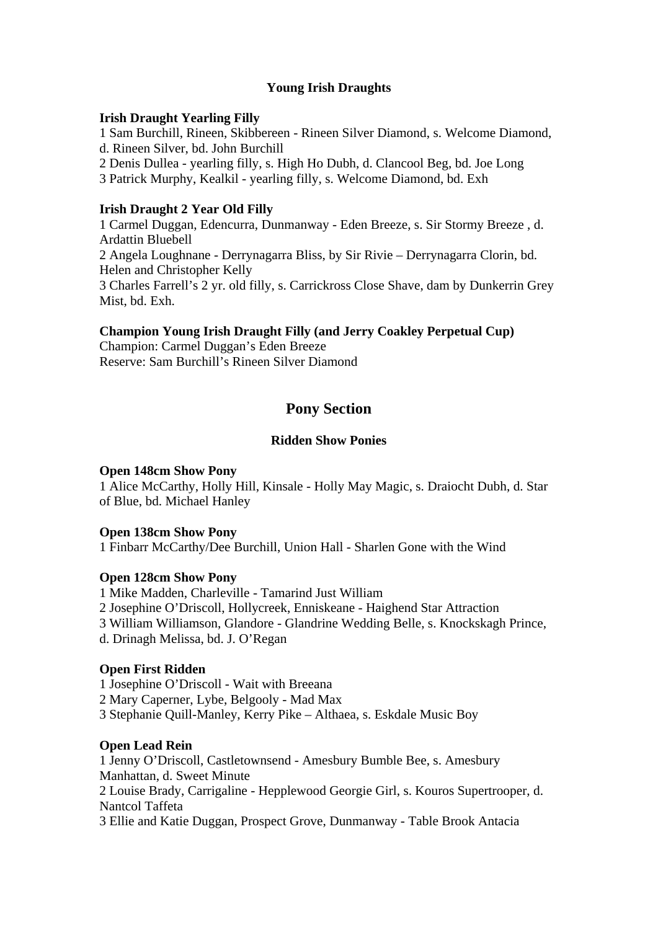# **Young Irish Draughts**

# **Irish Draught Yearling Filly**

1 Sam Burchill, Rineen, Skibbereen - Rineen Silver Diamond, s. Welcome Diamond, d. Rineen Silver, bd. John Burchill

- 2 Denis Dullea yearling filly, s. High Ho Dubh, d. Clancool Beg, bd. Joe Long
- 3 Patrick Murphy, Kealkil yearling filly, s. Welcome Diamond, bd. Exh

# **Irish Draught 2 Year Old Filly**

1 Carmel Duggan, Edencurra, Dunmanway - Eden Breeze, s. Sir Stormy Breeze , d. Ardattin Bluebell 2 Angela Loughnane - Derrynagarra Bliss, by Sir Rivie – Derrynagarra Clorin, bd. Helen and Christopher Kelly 3 Charles Farrell's 2 yr. old filly, s. Carrickross Close Shave, dam by Dunkerrin Grey Mist, bd. Exh.

# **Champion Young Irish Draught Filly (and Jerry Coakley Perpetual Cup)**

Champion: Carmel Duggan's Eden Breeze Reserve: Sam Burchill's Rineen Silver Diamond

# **Pony Section**

# **Ridden Show Ponies**

# **Open 148cm Show Pony**

1 Alice McCarthy, Holly Hill, Kinsale - Holly May Magic, s. Draiocht Dubh, d. Star of Blue, bd. Michael Hanley

# **Open 138cm Show Pony**

1 Finbarr McCarthy/Dee Burchill, Union Hall - Sharlen Gone with the Wind

# **Open 128cm Show Pony**

1 Mike Madden, Charleville - Tamarind Just William 2 Josephine O'Driscoll, Hollycreek, Enniskeane - Haighend Star Attraction 3 William Williamson, Glandore - Glandrine Wedding Belle, s. Knockskagh Prince, d. Drinagh Melissa, bd. J. O'Regan

# **Open First Ridden**

1 Josephine O'Driscoll - Wait with Breeana

2 Mary Caperner, Lybe, Belgooly - Mad Max

3 Stephanie Quill-Manley, Kerry Pike – Althaea, s. Eskdale Music Boy

# **Open Lead Rein**

1 Jenny O'Driscoll, Castletownsend - Amesbury Bumble Bee, s. Amesbury Manhattan, d. Sweet Minute 2 Louise Brady, Carrigaline - Hepplewood Georgie Girl, s. Kouros Supertrooper, d. Nantcol Taffeta 3 Ellie and Katie Duggan, Prospect Grove, Dunmanway - Table Brook Antacia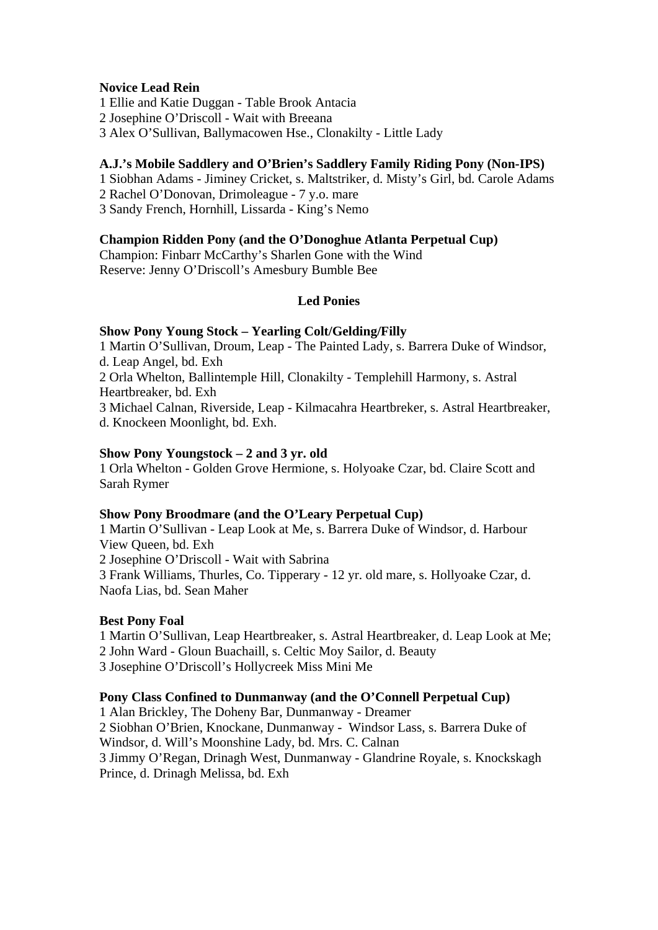# **Novice Lead Rein**

1 Ellie and Katie Duggan - Table Brook Antacia

2 Josephine O'Driscoll - Wait with Breeana

3 Alex O'Sullivan, Ballymacowen Hse., Clonakilty - Little Lady

# **A.J.'s Mobile Saddlery and O'Brien's Saddlery Family Riding Pony (Non-IPS)**

1 Siobhan Adams - Jiminey Cricket, s. Maltstriker, d. Misty's Girl, bd. Carole Adams

2 Rachel O'Donovan, Drimoleague - 7 y.o. mare

3 Sandy French, Hornhill, Lissarda - King's Nemo

# **Champion Ridden Pony (and the O'Donoghue Atlanta Perpetual Cup)**

Champion: Finbarr McCarthy's Sharlen Gone with the Wind Reserve: Jenny O'Driscoll's Amesbury Bumble Bee

# **Led Ponies**

# **Show Pony Young Stock – Yearling Colt/Gelding/Filly**

1 Martin O'Sullivan, Droum, Leap - The Painted Lady, s. Barrera Duke of Windsor, d. Leap Angel, bd. Exh

2 Orla Whelton, Ballintemple Hill, Clonakilty - Templehill Harmony, s. Astral Heartbreaker, bd. Exh

3 Michael Calnan, Riverside, Leap - Kilmacahra Heartbreker, s. Astral Heartbreaker, d. Knockeen Moonlight, bd. Exh.

# **Show Pony Youngstock – 2 and 3 yr. old**

1 Orla Whelton - Golden Grove Hermione, s. Holyoake Czar, bd. Claire Scott and Sarah Rymer

# **Show Pony Broodmare (and the O'Leary Perpetual Cup)**

1 Martin O'Sullivan - Leap Look at Me, s. Barrera Duke of Windsor, d. Harbour View Queen, bd. Exh

2 Josephine O'Driscoll - Wait with Sabrina

3 Frank Williams, Thurles, Co. Tipperary - 12 yr. old mare, s. Hollyoake Czar, d. Naofa Lias, bd. Sean Maher

# **Best Pony Foal**

1 Martin O'Sullivan, Leap Heartbreaker, s. Astral Heartbreaker, d. Leap Look at Me;

2 John Ward - Gloun Buachaill, s. Celtic Moy Sailor, d. Beauty

3 Josephine O'Driscoll's Hollycreek Miss Mini Me

# **Pony Class Confined to Dunmanway (and the O'Connell Perpetual Cup)**

1 Alan Brickley, The Doheny Bar, Dunmanway - Dreamer

2 Siobhan O'Brien, Knockane, Dunmanway - Windsor Lass, s. Barrera Duke of Windsor, d. Will's Moonshine Lady, bd. Mrs. C. Calnan

3 Jimmy O'Regan, Drinagh West, Dunmanway - Glandrine Royale, s. Knockskagh Prince, d. Drinagh Melissa, bd. Exh